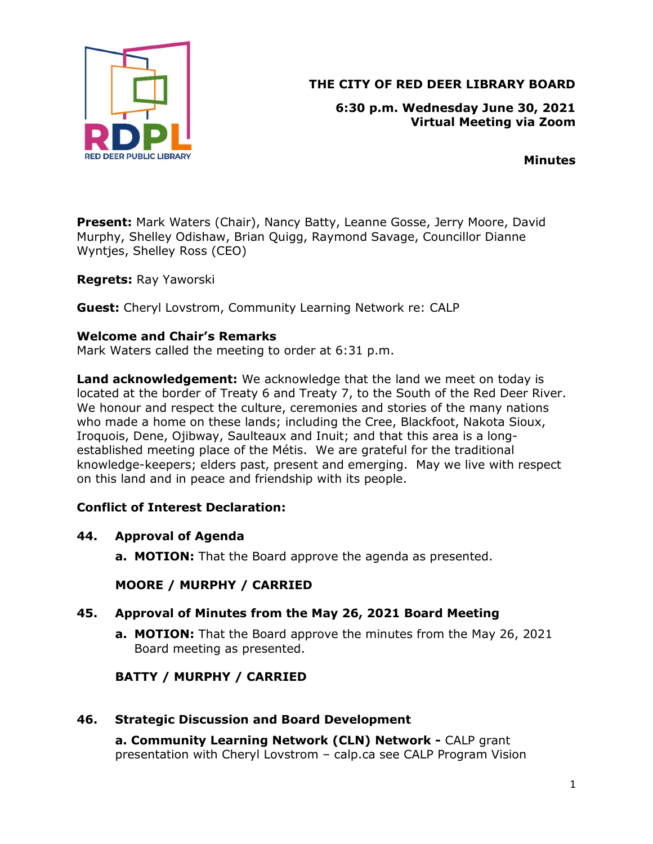

# THE CITY OF RED DEER LIBRARY BOARD

6:30 p.m. Wednesday June 30, 2021 Virtual Meeting via Zoom

**Minutes** 

Present: Mark Waters (Chair), Nancy Batty, Leanne Gosse, Jerry Moore, David Murphy, Shelley Odishaw, Brian Quigg, Raymond Savage, Councillor Dianne Wyntjes, Shelley Ross (CEO)

Regrets: Ray Yaworski

**Guest:** Cheryl Lovstrom, Community Learning Network re: CALP

#### Welcome and Chair's Remarks

Mark Waters called the meeting to order at 6:31 p.m.

**Land acknowledgement:** We acknowledge that the land we meet on today is located at the border of Treaty 6 and Treaty 7, to the South of the Red Deer River. We honour and respect the culture, ceremonies and stories of the many nations who made a home on these lands; including the Cree, Blackfoot, Nakota Sioux, Iroquois, Dene, Ojibway, Saulteaux and Inuit; and that this area is a longestablished meeting place of the Métis. We are grateful for the traditional knowledge-keepers; elders past, present and emerging. May we live with respect on this land and in peace and friendship with its people.

## Conflict of Interest Declaration:

## 44. Approval of Agenda

a. MOTION: That the Board approve the agenda as presented.

## MOORE / MURPHY / CARRIED

## 45. Approval of Minutes from the May 26, 2021 Board Meeting

**a. MOTION:** That the Board approve the minutes from the May 26, 2021 Board meeting as presented.

# BATTY / MURPHY / CARRIED

## 46. Strategic Discussion and Board Development

a. Community Learning Network (CLN) Network - CALP grant presentation with Cheryl Lovstrom – calp.ca see CALP Program Vision